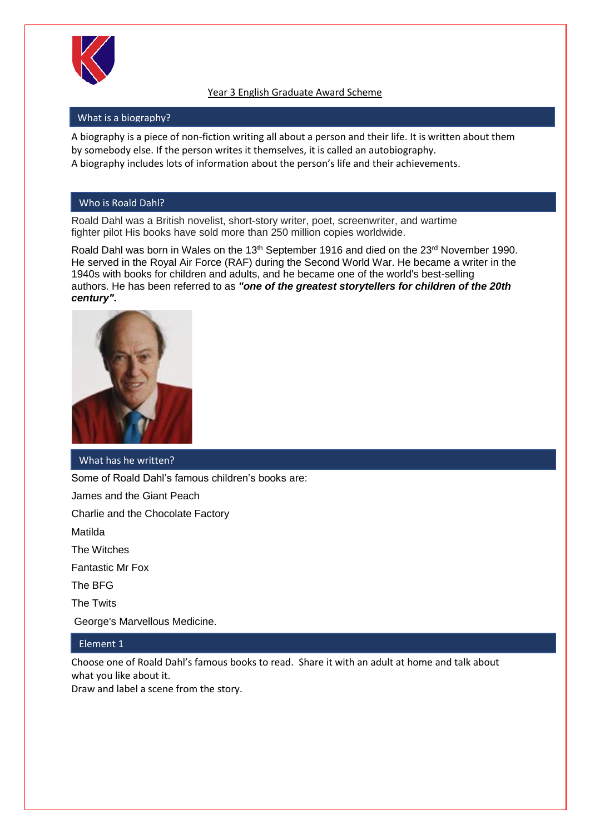

## Year 3 English Graduate Award Scheme

#### What is a biography?

A biography is a piece of non-fiction writing all about a person and their life. It is written about them by somebody else. If the person writes it themselves, it is called an autobiography. A biography includes lots of information about the person's life and their achievements.

#### Who is Roald Dahl?

Roald Dahl was a British novelist, short-story writer, poet, screenwriter, and wartime fighter pilot His books have sold more than 250 million copies worldwide.

Roald Dahl was born in Wales on the 13<sup>th</sup> September 1916 and died on the 23<sup>rd</sup> November 1990. He served in the [Royal Air Force](https://en.wikipedia.org/wiki/Royal_Air_Force) (RAF) during the [Second World War.](https://en.wikipedia.org/wiki/Second_World_War) He became a writer in the 1940s with books for children and adults, and he became one of the world's best-selling authors. He has been referred to as *"one of the greatest storytellers for children of the 20th century".*



#### What has he written?

Some of Roald Dahl's famous children's books are:

[James and the Giant Peach](https://en.wikipedia.org/wiki/James_and_the_Giant_Peach)

[Charlie and the Chocolate Factory](https://en.wikipedia.org/wiki/Charlie_and_the_Chocolate_Factory)

[Matilda](https://en.wikipedia.org/wiki/Matilda_(novel))

[The Witches](https://en.wikipedia.org/wiki/The_Witches_(novel))

[Fantastic Mr Fox](https://en.wikipedia.org/wiki/Fantastic_Mr_Fox)

[The BFG](https://en.wikipedia.org/wiki/The_BFG)

[The Twits](https://en.wikipedia.org/wiki/The_Twits)

[George's Marvellous Medicine.](https://en.wikipedia.org/wiki/George%27s_Marvellous_Medicine)

### Element 1

Choose one of Roald Dahl's famous books to read. Share it with an adult at home and talk about what you like about it.

Draw and label a scene from the story.